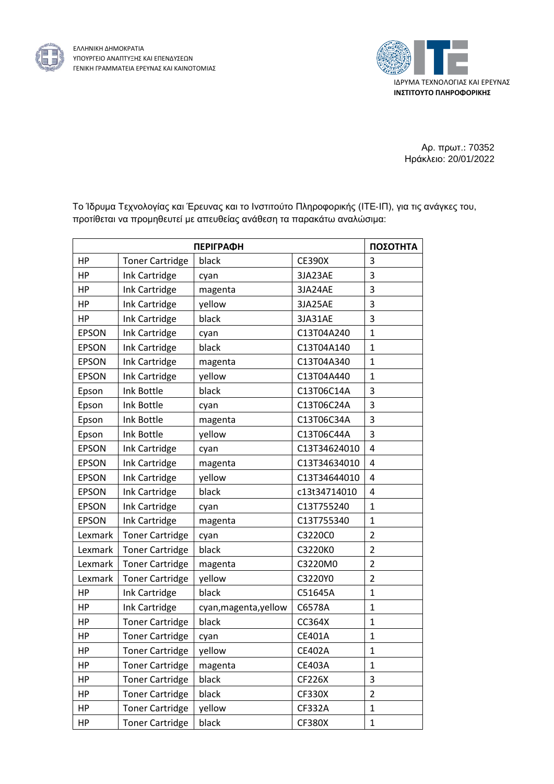



Αρ. πρωτ.: 70352 Ηράκλειο: 20/01/2022

Το Ίδρυμα Τεχνολογίας και Έρευνας και το Ινστιτούτο Πληροφορικής (ΙΤΕ‐ΙΠ), για τις ανάγκες του, προτίθεται να προμηθευτεί με απευθείας ανάθεση τα παρακάτω αναλώσιμα:

|              | ΠΟΣΟΤΗΤΑ               |                       |               |                         |
|--------------|------------------------|-----------------------|---------------|-------------------------|
| HP           | <b>Toner Cartridge</b> | black                 | <b>CE390X</b> | 3                       |
| HP           | Ink Cartridge          | cyan                  | 3JA23AE       | 3                       |
| HP           | Ink Cartridge          | magenta               | 3JA24AE       | 3                       |
| HP           | Ink Cartridge          | yellow                | 3JA25AE       | 3                       |
| HP           | Ink Cartridge          | black                 | 3JA31AE       | 3                       |
| <b>EPSON</b> | Ink Cartridge          | cyan                  | C13T04A240    | $\mathbf{1}$            |
| <b>EPSON</b> | Ink Cartridge          | black                 | C13T04A140    | $\mathbf{1}$            |
| <b>EPSON</b> | Ink Cartridge          | magenta               | C13T04A340    | $\mathbf{1}$            |
| <b>EPSON</b> | Ink Cartridge          | yellow                | C13T04A440    | $\mathbf{1}$            |
| Epson        | Ink Bottle             | black                 | C13T06C14A    | 3                       |
| Epson        | Ink Bottle             | cyan                  | C13T06C24A    | 3                       |
| Epson        | Ink Bottle             | magenta               | C13T06C34A    | 3                       |
| Epson        | Ink Bottle             | yellow                | C13T06C44A    | 3                       |
| <b>EPSON</b> | Ink Cartridge          | cyan                  | C13T34624010  | $\overline{\mathbf{4}}$ |
| <b>EPSON</b> | Ink Cartridge          | magenta               | C13T34634010  | 4                       |
| <b>EPSON</b> | Ink Cartridge          | yellow                | C13T34644010  | 4                       |
| <b>EPSON</b> | Ink Cartridge          | black                 | c13t34714010  | $\overline{4}$          |
| <b>EPSON</b> | Ink Cartridge          | cyan                  | C13T755240    | $\mathbf{1}$            |
| <b>EPSON</b> | Ink Cartridge          | magenta               | C13T755340    | $\mathbf{1}$            |
| Lexmark      | <b>Toner Cartridge</b> | cyan                  | C3220C0       | $\overline{2}$          |
| Lexmark      | <b>Toner Cartridge</b> | black                 | C3220K0       | $\overline{2}$          |
| Lexmark      | <b>Toner Cartridge</b> | magenta               | C3220M0       | $\overline{2}$          |
| Lexmark      | <b>Toner Cartridge</b> | yellow                | C3220Y0       | $\overline{c}$          |
| HP           | Ink Cartridge          | black                 | C51645A       | $\mathbf{1}$            |
| HP           | Ink Cartridge          | cyan, magenta, yellow | C6578A        | $\mathbf{1}$            |
| HP           | <b>Toner Cartridge</b> | black                 | CC364X        | $\mathbf{1}$            |
| ΗP           | <b>Toner Cartridge</b> | cyan                  | CE401A        | $\mathbf{1}$            |
| HP           | <b>Toner Cartridge</b> | yellow                | <b>CE402A</b> | $\mathbf{1}$            |
| HP           | <b>Toner Cartridge</b> | magenta               | <b>CE403A</b> | $\mathbf{1}$            |
| HP           | <b>Toner Cartridge</b> | black                 | CF226X        | $\mathsf 3$             |
| HP           | <b>Toner Cartridge</b> | black                 | <b>CF330X</b> | $\overline{2}$          |
| HP           | <b>Toner Cartridge</b> | yellow                | CF332A        | 1                       |
| HP           | <b>Toner Cartridge</b> | black                 | <b>CF380X</b> | $\mathbf 1$             |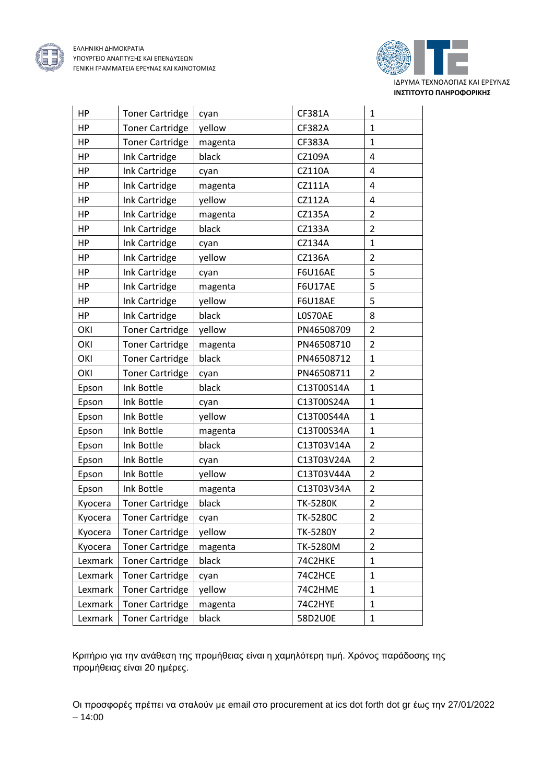



| HP        | <b>Toner Cartridge</b> | cyan    | CF381A          | $\mathbf{1}$   |
|-----------|------------------------|---------|-----------------|----------------|
| <b>HP</b> | <b>Toner Cartridge</b> | yellow  | CF382A          | $\mathbf{1}$   |
| HP        | <b>Toner Cartridge</b> | magenta | CF383A          | $\mathbf{1}$   |
| HP        | Ink Cartridge          | black   | CZ109A          | 4              |
| HP        | Ink Cartridge          | cyan    | CZ110A          | 4              |
| HP        | Ink Cartridge          | magenta | CZ111A          | 4              |
| <b>HP</b> | Ink Cartridge          | yellow  | CZ112A          | 4              |
| HP        | Ink Cartridge          | magenta | CZ135A          | $\overline{2}$ |
| HP        | Ink Cartridge          | black   | CZ133A          | $\overline{2}$ |
| HP        | Ink Cartridge          | cyan    | CZ134A          | $\mathbf{1}$   |
| HP        | Ink Cartridge          | yellow  | CZ136A          | $\overline{2}$ |
| HP        | Ink Cartridge          | cyan    | <b>F6U16AE</b>  | 5              |
| HP        | Ink Cartridge          | magenta | <b>F6U17AE</b>  | 5              |
| <b>HP</b> | Ink Cartridge          | yellow  | <b>F6U18AE</b>  | 5              |
| HP        | Ink Cartridge          | black   | LOS70AE         | 8              |
| OKI       | <b>Toner Cartridge</b> | yellow  | PN46508709      | $\overline{2}$ |
| OKI       | <b>Toner Cartridge</b> | magenta | PN46508710      | $\overline{2}$ |
| OKI       | <b>Toner Cartridge</b> | black   | PN46508712      | $\mathbf{1}$   |
| OKI       | <b>Toner Cartridge</b> | cyan    | PN46508711      | $\overline{2}$ |
| Epson     | Ink Bottle             | black   | C13T00S14A      | $\mathbf{1}$   |
| Epson     | Ink Bottle             | cyan    | C13T00S24A      | $\mathbf{1}$   |
| Epson     | Ink Bottle             | yellow  | C13T00S44A      | $\mathbf{1}$   |
| Epson     | Ink Bottle             | magenta | C13T00S34A      | $\mathbf{1}$   |
| Epson     | Ink Bottle             | black   | C13T03V14A      | $\overline{2}$ |
| Epson     | Ink Bottle             | cyan    | C13T03V24A      | $\overline{2}$ |
| Epson     | Ink Bottle             | yellow  | C13T03V44A      | $\overline{2}$ |
| Epson     | Ink Bottle             | magenta | C13T03V34A      | $\overline{2}$ |
| Kyocera   | <b>Toner Cartridge</b> | black   | <b>TK-5280K</b> | $\overline{2}$ |
| Kyocera   | <b>Toner Cartridge</b> | cyan    | <b>TK-5280C</b> | $\overline{2}$ |
| Kyocera   | <b>Toner Cartridge</b> | yellow  | <b>TK-5280Y</b> | 2              |
| Kyocera   | <b>Toner Cartridge</b> | magenta | TK-5280M        | $\overline{2}$ |
| Lexmark   | <b>Toner Cartridge</b> | black   | 74C2HKE         | $\mathbf{1}$   |
| Lexmark   | <b>Toner Cartridge</b> | cyan    | 74C2HCE         | $\mathbf 1$    |
| Lexmark   | <b>Toner Cartridge</b> | yellow  | 74C2HME         | $\mathbf{1}$   |
| Lexmark   | <b>Toner Cartridge</b> | magenta | 74C2HYE         | $\mathbf{1}$   |
| Lexmark   | <b>Toner Cartridge</b> | black   | 58D2U0E         | $\mathbf{1}$   |

Κριτήριο για την ανάθεση της προμήθειας είναι η χαμηλότερη τιμή. Χρόνος παράδοσης της προμήθειας είναι 20 ημέρες.

Οι προσφορές πρέπει να σταλούν με email στο procurement at ics dot forth dot gr έως την 27/01/2022 – 14:00